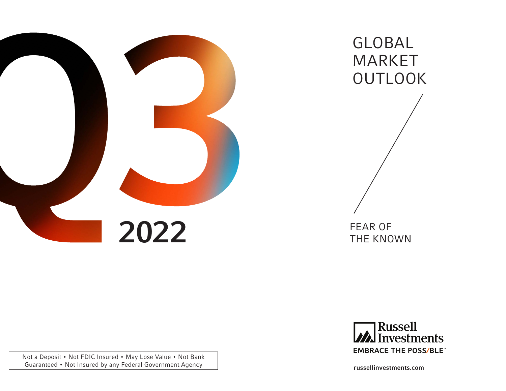

GLOBAL MARKET **OUTLOOK** 



russellinvestments.com

Not a Deposit • Not FDIC Insured • May Lose Value • Not Bank Guaranteed • Not Insured by any Federal Government Agency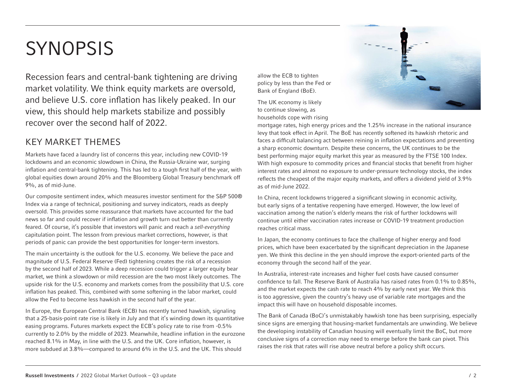# **SYNOPSIS**

Recession fears and central-bank tightening are driving market volatility. We think equity markets are oversold, and believe U.S. core inflation has likely peaked. In our view, this should help markets stabilize and possibly recover over the second half of 2022.

# KEY MARKET THEMES

Markets have faced a laundry list of concerns this year, including new COVID-19 lockdowns and an economic slowdown in China, the Russia-Ukraine war, surging inflation and central-bank tightening. This has led to a tough first half of the year, with global equities down around 20% and the Bloomberg Global Treasury benchmark off 9%, as of mid-June.

Our composite sentiment index, which measures investor sentiment for the S&P 500® Index via a range of technical, positioning and survey indicators, reads as deeply oversold. This provides some reassurance that markets have accounted for the bad news so far and could recover if inflation and growth turn out better than currently feared. Of course, it's possible that investors will panic and reach a *sell-everything* capitulation point. The lesson from previous market corrections, however, is that periods of panic can provide the best opportunities for longer-term investors.

The main uncertainty is the outlook for the U.S. economy. We believe the pace and magnitude of U.S. Federal Reserve (Fed) tightening creates the risk of a recession by the second half of 2023. While a deep recession could trigger a larger equity bear market, we think a slowdown or mild recession are the two most likely outcomes. The upside risk for the U.S. economy and markets comes from the possibility that U.S. core inflation has peaked. This, combined with some softening in the labor market, could allow the Fed to become less hawkish in the second half of the year.

In Europe, the European Central Bank (ECB) has recently turned hawkish, signaling that a 25-basis-point rate rise is likely in July and that it's winding down its quantitative easing programs. Futures markets expect the ECB's policy rate to rise from -0.5% currently to 2.0% by the middle of 2023. Meanwhile, headline inflation in the eurozone reached 8.1% in May, in line with the U.S. and the UK. Core inflation, however, is more subdued at 3.8%—compared to around 6% in the U.S. and the UK. This should

allow the ECB to tighten policy by less than the Fed or Bank of England (BoE).

The UK economy is likely to continue slowing, as households cope with rising



mortgage rates, high energy prices and the 1.25% increase in the national insurance levy that took effect in April. The BoE has recently softened its hawkish rhetoric and faces a difficult balancing act between reining in inflation expectations and preventing a sharp economic downturn. Despite these concerns, the UK continues to be the best performing major equity market this year as measured by the FTSE 100 Index. With high exposure to commodity prices and financial stocks that benefit from higher interest rates and almost no exposure to under-pressure technology stocks, the index reflects the cheapest of the major equity markets, and offers a dividend yield of 3.9% as of mid-June 2022.

In China, recent lockdowns triggered a significant slowing in economic activity, but early signs of a tentative reopening have emerged. However, the low level of vaccination among the nation's elderly means the risk of further lockdowns will continue until either vaccination rates increase or COVID-19 treatment production reaches critical mass.

In Japan, the economy continues to face the challenge of higher energy and food prices, which have been exacerbated by the significant depreciation in the Japanese yen. We think this decline in the yen should improve the export-oriented parts of the economy through the second half of the year.

In Australia, interest-rate increases and higher fuel costs have caused consumer confidence to fall. The Reserve Bank of Australia has raised rates from 0.1% to 0.85%, and the market expects the cash rate to reach 4% by early next year. We think this is too aggressive, given the country's heavy use of variable rate mortgages and the impact this will have on household disposable incomes.

The Bank of Canada (BoC)'s unmistakably hawkish tone has been surprising, especially since signs are emerging that housing-market fundamentals are unwinding. We believe the developing instability of Canadian housing will eventually limit the BoC, but more conclusive signs of a correction may need to emerge before the bank can pivot. This raises the risk that rates will rise above neutral before a policy shift occurs.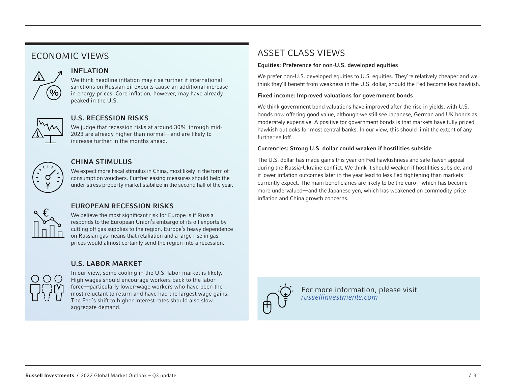# ECONOMIC VIEWS



# INFLATION

We think headline inflation may rise further if international sanctions on Russian oil exports cause an additional increase in energy prices. Core inflation, however, may have already peaked in the U.S.



## U.S. RECESSION RISKS

We judge that recession risks at around 30% through mid-2023 are already higher than normal—and are likely to increase further in the months ahead.



## CHINA STIMULUS

We expect more fiscal stimulus in China, most likely in the form of consumption vouchers. Further easing measures should help the under-stress property market stabilize in the second half of the year.



## EUROPEAN RECESSION RISKS

We believe the most significant risk for Europe is if Russia responds to the European Union's embargo of its oil exports by cutting off gas supplies to the region. Europe's heavy dependence on Russian gas means that retaliation and a large rise in gas prices would almost certainly send the region into a recession.

### U.S. LABOR MARKET



In our view, some cooling in the U.S. labor market is likely. High wages should encourage workers back to the labor force—particularly lower-wage workers who have been the most reluctant to return and have had the largest wage gains. The Fed's shift to higher interest rates should also slow aggregate demand.

# ASSET CLASS VIEWS

#### Equities: Preference for non-U.S. developed equities

We prefer non-U.S. developed equities to U.S. equities. They're relatively cheaper and we think they'll benefit from weakness in the U.S. dollar, should the Fed become less hawkish.

#### Fixed income: Improved valuations for government bonds

We think government bond valuations have improved after the rise in yields, with U.S. bonds now offering good value, although we still see Japanese, German and UK bonds as moderately expensive. A positive for government bonds is that markets have fully priced hawkish outlooks for most central banks. In our view, this should limit the extent of any further selloff.

#### Currencies: Strong U.S. dollar could weaken if hostilities subside

The U.S. dollar has made gains this year on Fed hawkishness and safe-haven appeal during the Russia-Ukraine conflict. We think it should weaken if hostilities subside, and if lower inflation outcomes later in the year lead to less Fed tightening than markets currently expect. The main beneficiaries are likely to be the euro—which has become more undervalued—and the Japanese yen, which has weakened on commodity price inflation and China growth concerns.



For more information, please visit *[russellinvestments.com](https://russellinvestments.com/us/)*